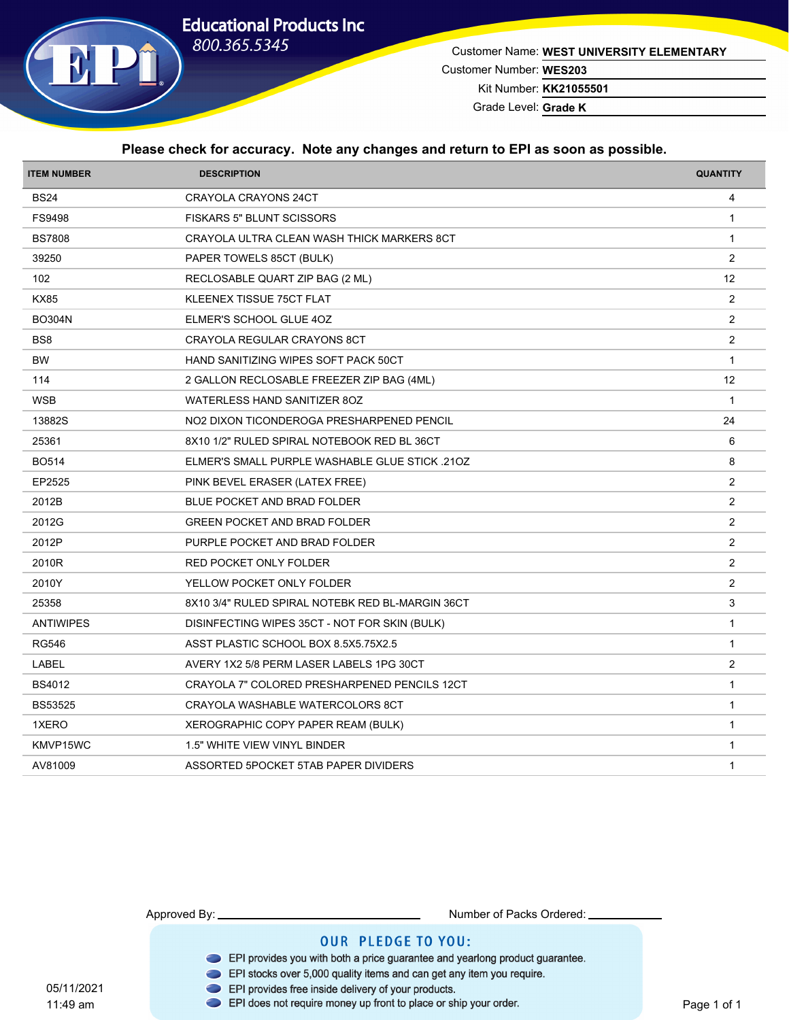# **Educational Products Inc**



Customer Name: **WEST UNIVERSITY ELEMENTARY**

Customer Number: **WES203**

Kit Number: **KK21055501**

Grade Level: **Grade K**

#### **Please check for accuracy. Note any changes and return to EPI as soon as possible.**

| <b>ITEM NUMBER</b> | <b>DESCRIPTION</b>                                    | <b>QUANTITY</b> |
|--------------------|-------------------------------------------------------|-----------------|
| <b>BS24</b>        | <b>CRAYOLA CRAYONS 24CT</b>                           | 4               |
| FS9498             | <b>FISKARS 5" BLUNT SCISSORS</b>                      | $\mathbf{1}$    |
| <b>BS7808</b>      | CRAYOLA ULTRA CLEAN WASH THICK MARKERS 8CT            | $\mathbf{1}$    |
| 39250              | PAPER TOWELS 85CT (BULK)                              | $\overline{2}$  |
| 102                | RECLOSABLE QUART ZIP BAG (2 ML)                       | 12              |
| <b>KX85</b>        | KLEENEX TISSUE 75CT FLAT                              | $\overline{2}$  |
| <b>BO304N</b>      | ELMER'S SCHOOL GLUE 4OZ                               | $\overline{2}$  |
| BS <sub>8</sub>    | CRAYOLA REGULAR CRAYONS 8CT                           | 2               |
| <b>BW</b>          | HAND SANITIZING WIPES SOFT PACK 50CT                  | $\mathbf{1}$    |
| 114                | 2 GALLON RECLOSABLE FREEZER ZIP BAG (4ML)             | 12              |
| <b>WSB</b>         | <b>WATERLESS HAND SANITIZER 80Z</b>                   | $\mathbf{1}$    |
| 13882S             | NO2 DIXON TICONDEROGA PRESHARPENED PENCIL             | 24              |
| 25361              | 8X10 1/2" RULED SPIRAL NOTEBOOK RED BL 36CT           | 6               |
| <b>BO514</b>       | <b>ELMER'S SMALL PURPLE WASHABLE GLUE STICK .210Z</b> | 8               |
| EP2525             | PINK BEVEL ERASER (LATEX FREE)                        | 2               |
| 2012B              | BLUE POCKET AND BRAD FOLDER                           | 2               |
| 2012G              | <b>GREEN POCKET AND BRAD FOLDER</b>                   | $\overline{2}$  |
| 2012P              | PURPLE POCKET AND BRAD FOLDER                         | 2               |
| 2010R              | RED POCKET ONLY FOLDER                                | 2               |
| 2010Y              | YELLOW POCKET ONLY FOLDER                             | $\overline{2}$  |
| 25358              | 8X10 3/4" RULED SPIRAL NOTEBK RED BL-MARGIN 36CT      | 3               |
| <b>ANTIWIPES</b>   | DISINFECTING WIPES 35CT - NOT FOR SKIN (BULK)         | $\mathbf{1}$    |
| <b>RG546</b>       | ASST PLASTIC SCHOOL BOX 8.5X5.75X2.5                  | $\mathbf{1}$    |
| LABEL              | AVERY 1X2 5/8 PERM LASER LABELS 1PG 30CT              | $\overline{2}$  |
| <b>BS4012</b>      | CRAYOLA 7" COLORED PRESHARPENED PENCILS 12CT          | $\mathbf{1}$    |
| <b>BS53525</b>     | CRAYOLA WASHABLE WATERCOLORS 8CT                      | $\mathbf{1}$    |
| 1XERO              | XEROGRAPHIC COPY PAPER REAM (BULK)                    | $\mathbf{1}$    |
| KMVP15WC           | 1.5" WHITE VIEW VINYL BINDER                          | $\mathbf{1}$    |
| AV81009            | ASSORTED 5POCKET 5TAB PAPER DIVIDERS                  | $\mathbf{1}$    |

Approved By: Number of Packs Ordered:

- EPI provides you with both a price guarantee and yearlong product guarantee.
- EPI stocks over 5,000 quality items and can get any item you require.
- EPI provides free inside delivery of your products.
- EPI does not require money up front to place or ship your order.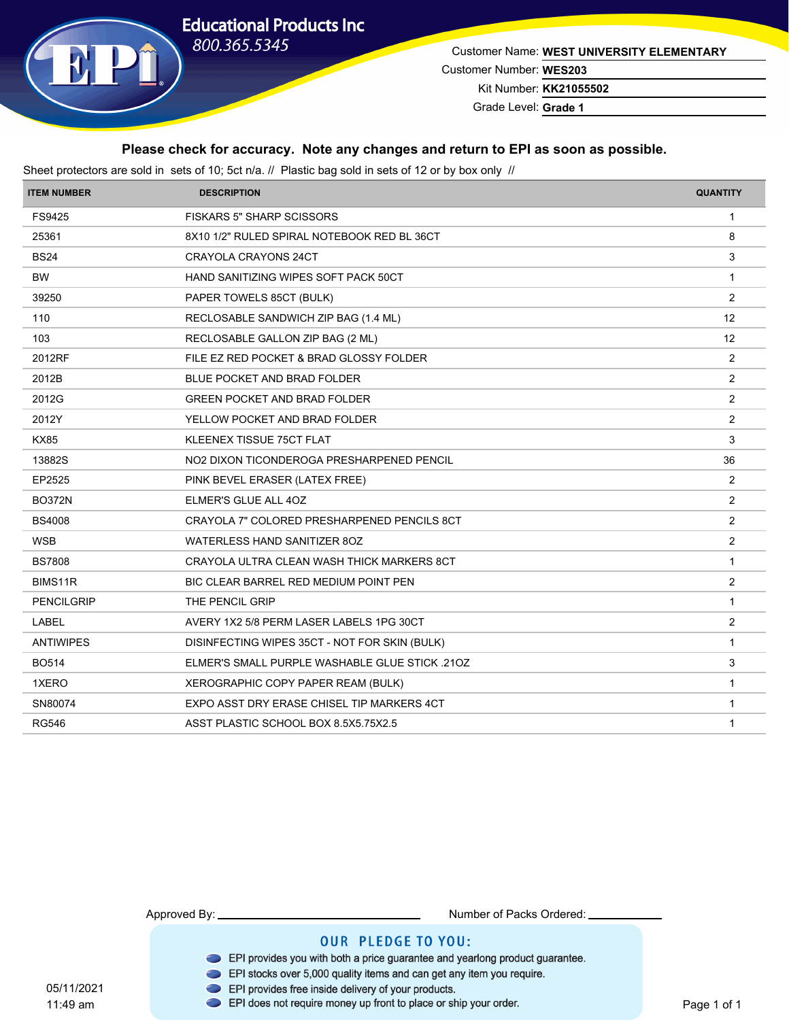# **Educational Products Inc** 800.365.5345



Customer Name: **WEST UNIVERSITY ELEMENTARY** Customer Number: **WES203**

Kit Number: **KK21055502**

Grade Level: **Grade 1**

#### **Please check for accuracy. Note any changes and return to EPI as soon as possible.**

Sheet protectors are sold in sets of 10; 5ct n/a. // Plastic bag sold in sets of 12 or by box only //

| <b>ITEM NUMBER</b> | <b>DESCRIPTION</b>                                    | <b>QUANTITY</b> |
|--------------------|-------------------------------------------------------|-----------------|
| FS9425             | <b>FISKARS 5" SHARP SCISSORS</b>                      | $\mathbf{1}$    |
| 25361              | 8X10 1/2" RULED SPIRAL NOTEBOOK RED BL 36CT           | 8               |
| <b>BS24</b>        | CRAYOLA CRAYONS 24CT                                  | 3               |
| <b>BW</b>          | HAND SANITIZING WIPES SOFT PACK 50CT                  | $\mathbf{1}$    |
| 39250              | PAPER TOWELS 85CT (BULK)                              | $\overline{2}$  |
| 110                | RECLOSABLE SANDWICH ZIP BAG (1.4 ML)                  | 12              |
| 103                | RECLOSABLE GALLON ZIP BAG (2 ML)                      | 12              |
| 2012RF             | FILE EZ RED POCKET & BRAD GLOSSY FOLDER               | $\overline{2}$  |
| 2012B              | BLUE POCKET AND BRAD FOLDER                           | $\overline{2}$  |
| 2012G              | <b>GREEN POCKET AND BRAD FOLDER</b>                   | $\overline{2}$  |
| 2012Y              | YELLOW POCKET AND BRAD FOLDER                         | 2               |
| <b>KX85</b>        | KLEENEX TISSUE 75CT FLAT                              | 3               |
| 13882S             | NO2 DIXON TICONDEROGA PRESHARPENED PENCIL             | 36              |
| EP2525             | PINK BEVEL ERASER (LATEX FREE)                        | $\overline{2}$  |
| <b>BO372N</b>      | ELMER'S GLUE ALL 4OZ                                  | $\overline{2}$  |
| <b>BS4008</b>      | CRAYOLA 7" COLORED PRESHARPENED PENCILS 8CT           | $\overline{2}$  |
| <b>WSB</b>         | WATERLESS HAND SANITIZER 80Z                          | $\overline{2}$  |
| <b>BS7808</b>      | CRAYOLA ULTRA CLEAN WASH THICK MARKERS 8CT            | $\mathbf 1$     |
| BIMS11R            | BIC CLEAR BARREL RED MEDIUM POINT PEN                 | 2               |
| <b>PENCILGRIP</b>  | THE PENCIL GRIP                                       | $\mathbf 1$     |
| LABEL              | AVERY 1X2 5/8 PERM LASER LABELS 1PG 30CT              | 2               |
| <b>ANTIWIPES</b>   | DISINFECTING WIPES 35CT - NOT FOR SKIN (BULK)         | $\mathbf 1$     |
| <b>BO514</b>       | <b>ELMER'S SMALL PURPLE WASHABLE GLUE STICK .210Z</b> | 3               |
| 1XERO              | XEROGRAPHIC COPY PAPER REAM (BULK)                    | $\mathbf{1}$    |
| SN80074            | EXPO ASST DRY ERASE CHISEL TIP MARKERS 4CT            | $\mathbf{1}$    |
| <b>RG546</b>       | ASST PLASTIC SCHOOL BOX 8.5X5.75X2.5                  | $\mathbf{1}$    |

05/11/2021 11:49 am

Approved By: Number of Packs Ordered:

- EPI provides you with both a price guarantee and yearlong product guarantee.
- EPI stocks over 5,000 quality items and can get any item you require.
- EPI provides free inside delivery of your products.
- EPI does not require money up front to place or ship your order.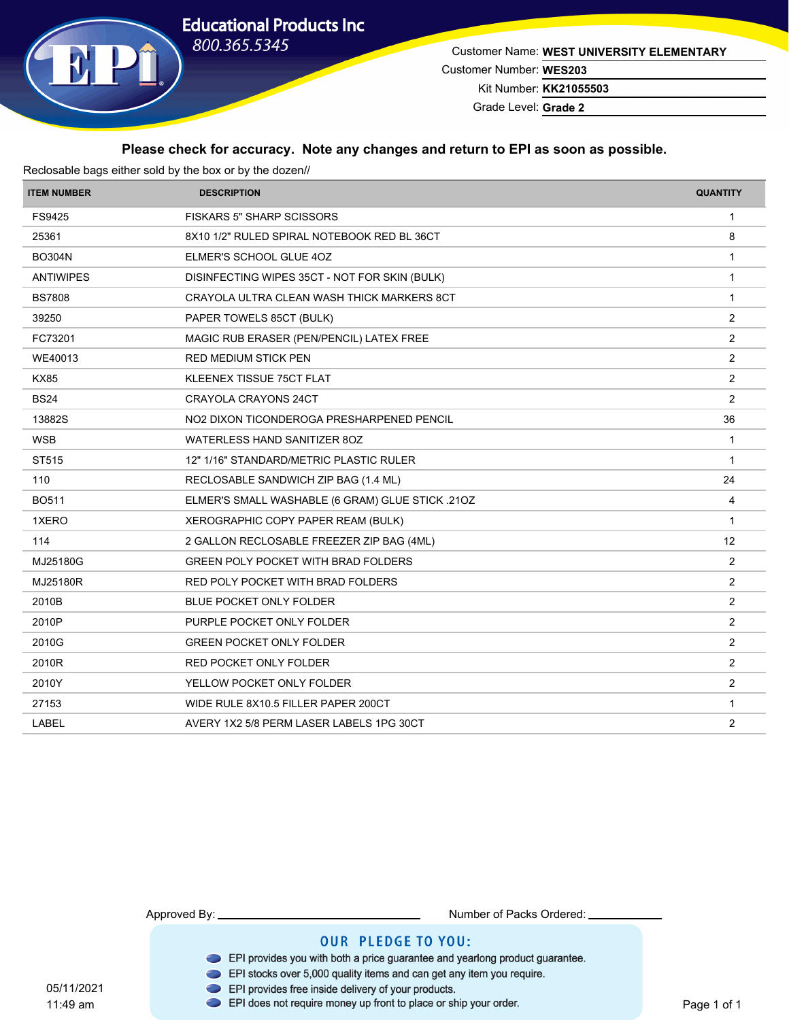# **Educational Products Inc** 800.365.5345



Customer Name: **WEST UNIVERSITY ELEMENTARY** Customer Number: **WES203**

Kit Number: **KK21055503**

Grade Level: **Grade 2**

#### **Please check for accuracy. Note any changes and return to EPI as soon as possible.**

| Reclosable bags either sold by the box or by the dozen// |                                                  |                 |  |
|----------------------------------------------------------|--------------------------------------------------|-----------------|--|
| <b>ITEM NUMBER</b>                                       | <b>DESCRIPTION</b>                               | <b>QUANTITY</b> |  |
| FS9425                                                   | <b>FISKARS 5" SHARP SCISSORS</b>                 | $\mathbf{1}$    |  |
| 25361                                                    | 8X10 1/2" RULED SPIRAL NOTEBOOK RED BL 36CT      | 8               |  |
| <b>BO304N</b>                                            | ELMER'S SCHOOL GLUE 40Z                          | $\mathbf{1}$    |  |
| <b>ANTIWIPES</b>                                         | DISINFECTING WIPES 35CT - NOT FOR SKIN (BULK)    | $\mathbf{1}$    |  |
| <b>BS7808</b>                                            | CRAYOLA ULTRA CLEAN WASH THICK MARKERS 8CT       | $\mathbf{1}$    |  |
| 39250                                                    | PAPER TOWELS 85CT (BULK)                         | $\overline{2}$  |  |
| FC73201                                                  | MAGIC RUB ERASER (PEN/PENCIL) LATEX FREE         | 2               |  |
| WE40013                                                  | <b>RED MEDIUM STICK PEN</b>                      | $\overline{2}$  |  |
| <b>KX85</b>                                              | KLEENEX TISSUE 75CT FLAT                         | $\overline{2}$  |  |
| <b>BS24</b>                                              | <b>CRAYOLA CRAYONS 24CT</b>                      | 2               |  |
| 13882S                                                   | NO2 DIXON TICONDEROGA PRESHARPENED PENCIL        | 36              |  |
| <b>WSB</b>                                               | WATERLESS HAND SANITIZER 80Z                     | $\mathbf{1}$    |  |
| ST515                                                    | 12" 1/16" STANDARD/METRIC PLASTIC RULER          | $\mathbf{1}$    |  |
| 110                                                      | RECLOSABLE SANDWICH ZIP BAG (1.4 ML)             | 24              |  |
| <b>BO511</b>                                             | ELMER'S SMALL WASHABLE (6 GRAM) GLUE STICK .210Z | 4               |  |
| 1XERO                                                    | XEROGRAPHIC COPY PAPER REAM (BULK)               | $\mathbf{1}$    |  |
| 114                                                      | 2 GALLON RECLOSABLE FREEZER ZIP BAG (4ML)        | 12              |  |
| MJ25180G                                                 | <b>GREEN POLY POCKET WITH BRAD FOLDERS</b>       | $\overline{2}$  |  |
| MJ25180R                                                 | RED POLY POCKET WITH BRAD FOLDERS                | $\overline{2}$  |  |
| 2010B                                                    | BLUE POCKET ONLY FOLDER                          | 2               |  |
| 2010P                                                    | PURPLE POCKET ONLY FOLDER                        | $\overline{2}$  |  |
| 2010G                                                    | <b>GREEN POCKET ONLY FOLDER</b>                  | $\overline{2}$  |  |
| 2010R                                                    | RED POCKET ONLY FOLDER                           | 2               |  |
| 2010Y                                                    | YELLOW POCKET ONLY FOLDER                        | 2               |  |
| 27153                                                    | WIDE RULE 8X10.5 FILLER PAPER 200CT              | $\mathbf 1$     |  |
| LABEL                                                    | AVERY 1X2 5/8 PERM LASER LABELS 1PG 30CT         | $\overline{2}$  |  |

Approved By: Number of Packs Ordered:

- EPI provides you with both a price guarantee and yearlong product guarantee.
- EPI stocks over 5,000 quality items and can get any item you require.
- EPI provides free inside delivery of your products.
- EPI does not require money up front to place or ship your order.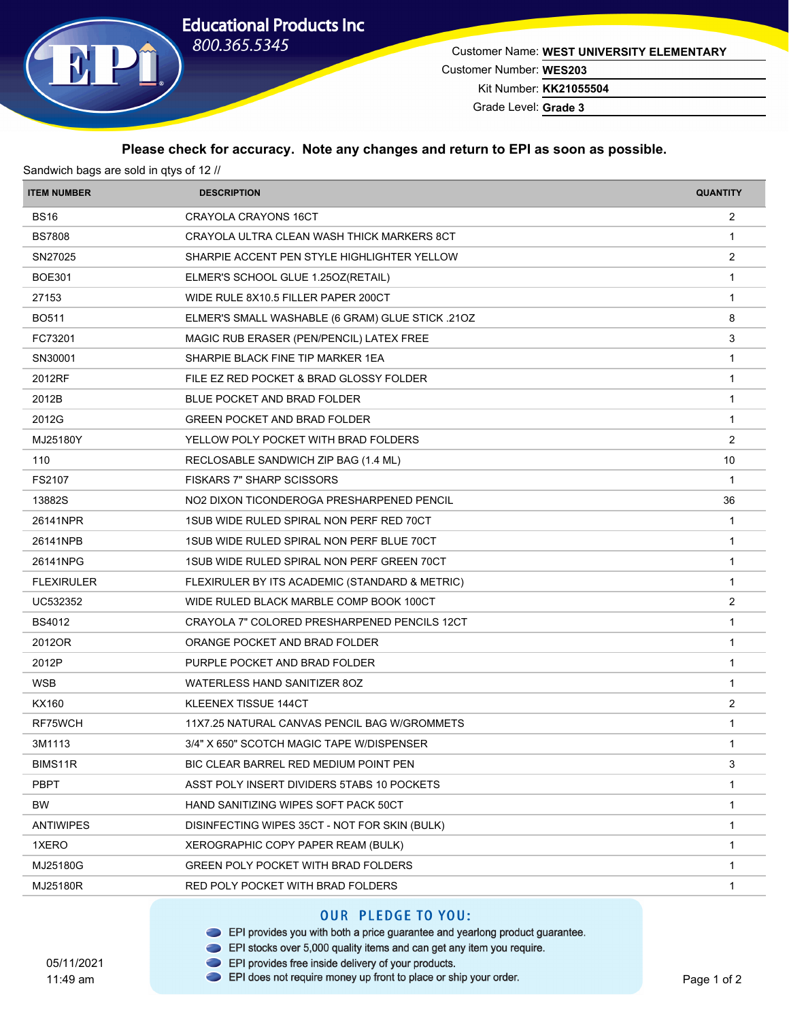# **Educational Products Inc**



Customer Name: **WEST UNIVERSITY ELEMENTARY** Customer Number: **WES203**

Kit Number: **KK21055504**

Grade Level: **Grade 3**

#### **Please check for accuracy. Note any changes and return to EPI as soon as possible.**

| Sandwich bags are sold in qtys of 12 // |                                                  |                 |  |
|-----------------------------------------|--------------------------------------------------|-----------------|--|
| <b>ITEM NUMBER</b>                      | <b>DESCRIPTION</b>                               | <b>QUANTITY</b> |  |
| <b>BS16</b>                             | <b>CRAYOLA CRAYONS 16CT</b>                      | $\overline{2}$  |  |
| <b>BS7808</b>                           | CRAYOLA ULTRA CLEAN WASH THICK MARKERS 8CT       | 1               |  |
| SN27025                                 | SHARPIE ACCENT PEN STYLE HIGHLIGHTER YELLOW      | 2               |  |
| <b>BOE301</b>                           | ELMER'S SCHOOL GLUE 1.250Z(RETAIL)               | $\mathbf{1}$    |  |
| 27153                                   | WIDE RULE 8X10.5 FILLER PAPER 200CT              | 1               |  |
| <b>BO511</b>                            | ELMER'S SMALL WASHABLE (6 GRAM) GLUE STICK .210Z | 8               |  |
| FC73201                                 | MAGIC RUB ERASER (PEN/PENCIL) LATEX FREE         | 3               |  |
| SN30001                                 | SHARPIE BLACK FINE TIP MARKER 1EA                | 1               |  |
| 2012RF                                  | FILE EZ RED POCKET & BRAD GLOSSY FOLDER          | $\mathbf{1}$    |  |
| 2012B                                   | BLUE POCKET AND BRAD FOLDER                      | 1               |  |
| 2012G                                   | <b>GREEN POCKET AND BRAD FOLDER</b>              | 1               |  |
| MJ25180Y                                | YELLOW POLY POCKET WITH BRAD FOLDERS             | $\overline{2}$  |  |
| 110                                     | RECLOSABLE SANDWICH ZIP BAG (1.4 ML)             | 10              |  |
| FS2107                                  | <b>FISKARS 7" SHARP SCISSORS</b>                 | $\mathbf{1}$    |  |
| 13882S                                  | NO2 DIXON TICONDEROGA PRESHARPENED PENCIL        | 36              |  |
| 26141NPR                                | 1SUB WIDE RULED SPIRAL NON PERF RED 70CT         | 1               |  |
| 26141NPB                                | 1SUB WIDE RULED SPIRAL NON PERF BLUE 70CT        | $\mathbf{1}$    |  |
| 26141NPG                                | 1SUB WIDE RULED SPIRAL NON PERF GREEN 70CT       | 1               |  |
| <b>FLEXIRULER</b>                       | FLEXIRULER BY ITS ACADEMIC (STANDARD & METRIC)   | $\mathbf{1}$    |  |
| UC532352                                | WIDE RULED BLACK MARBLE COMP BOOK 100CT          | $\overline{2}$  |  |
| <b>BS4012</b>                           | CRAYOLA 7" COLORED PRESHARPENED PENCILS 12CT     | 1               |  |
| 2012OR                                  | ORANGE POCKET AND BRAD FOLDER                    | 1               |  |
| 2012P                                   | PURPLE POCKET AND BRAD FOLDER                    | 1               |  |
| <b>WSB</b>                              | WATERLESS HAND SANITIZER 80Z                     | $\mathbf{1}$    |  |
| KX160                                   | <b>KLEENEX TISSUE 144CT</b>                      | $\overline{2}$  |  |
| RF75WCH                                 | 11X7.25 NATURAL CANVAS PENCIL BAG W/GROMMETS     | 1               |  |
| 3M1113                                  | 3/4" X 650" SCOTCH MAGIC TAPE W/DISPENSER        | 1               |  |
| BIMS11R                                 | BIC CLEAR BARREL RED MEDIUM POINT PEN            | 3               |  |
| <b>PBPT</b>                             | ASST POLY INSERT DIVIDERS 5TABS 10 POCKETS       | $\mathbf{1}$    |  |
| BW.                                     | HAND SANITIZING WIPES SOFT PACK 50CT             | 1               |  |
| <b>ANTIWIPES</b>                        | DISINFECTING WIPES 35CT - NOT FOR SKIN (BULK)    | 1               |  |
| 1XERO                                   | XEROGRAPHIC COPY PAPER REAM (BULK)               | 1               |  |
| MJ25180G                                | GREEN POLY POCKET WITH BRAD FOLDERS              | 1               |  |
| MJ25180R                                | RED POLY POCKET WITH BRAD FOLDERS                | $\mathbf{1}$    |  |
|                                         |                                                  |                 |  |

- EPI provides you with both a price guarantee and yearlong product guarantee.
- EPI stocks over 5,000 quality items and can get any item you require.
- EPI provides free inside delivery of your products.
- 05/11/2021 11:49 am
- EPI does not require money up front to place or ship your order.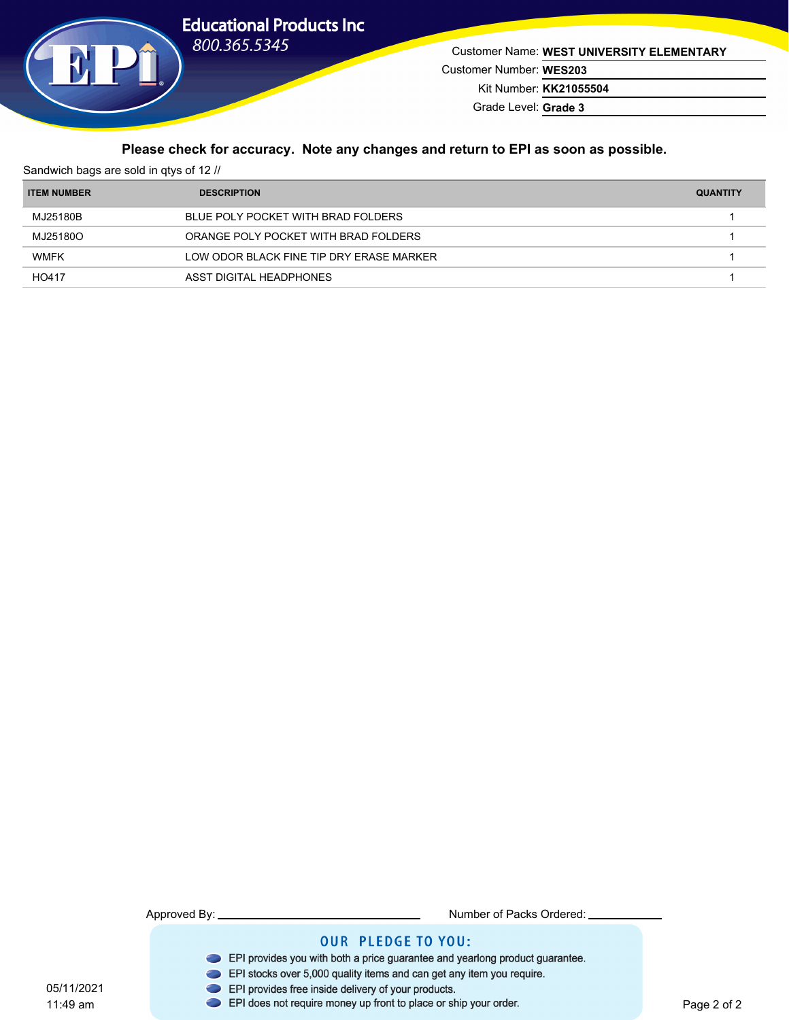

05/11/2021 11:49 am

Customer Name: **WEST UNIVERSITY ELEMENTARY** Customer Number: **WES203** Kit Number: **KK21055504**

Grade Level: **Grade 3**

## **Please check for accuracy. Note any changes and return to EPI as soon as possible.**

| Sandwich bags are sold in gtys of 12 // |                                          |                 |  |
|-----------------------------------------|------------------------------------------|-----------------|--|
| <b>ITEM NUMBER</b>                      | <b>DESCRIPTION</b>                       | <b>QUANTITY</b> |  |
| MJ25180B                                | BLUE POLY POCKET WITH BRAD FOLDERS       |                 |  |
| MJ25180O                                | ORANGE POLY POCKET WITH BRAD FOLDERS     |                 |  |
| <b>WMFK</b>                             | LOW ODOR BLACK FINE TIP DRY ERASE MARKER |                 |  |
| HO417                                   | ASST DIGITAL HEADPHONES                  |                 |  |

| Number of Packs Ordered:                                                                                                                              |
|-------------------------------------------------------------------------------------------------------------------------------------------------------|
| <b>OUR PLEDGE TO YOU:</b>                                                                                                                             |
| EPI provides you with both a price guarantee and yearlong product guarantee.<br>EPI stocks over 5,000 quality items and can get any item you require. |
| EPI provides free inside delivery of your products.<br>EPI does not require money up front to place or ship your order.                               |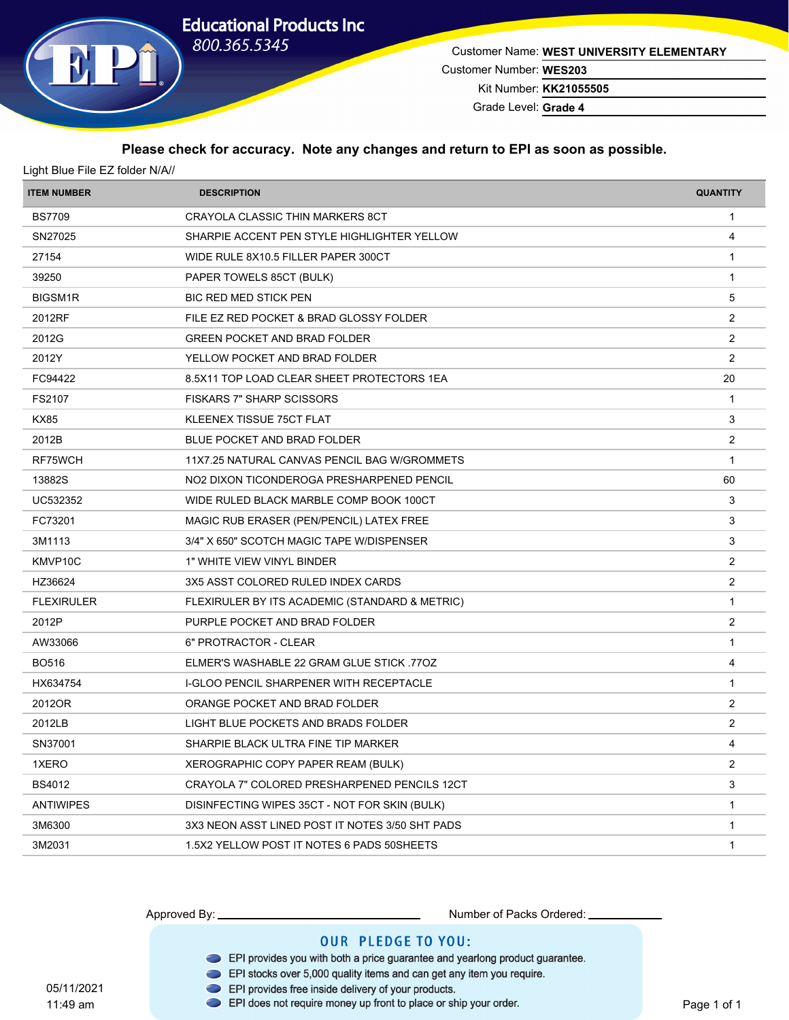# **Educational Products Inc**



Customer Name: **WEST UNIVERSITY ELEMENTARY** Customer Number: **WES203**

Kit Number: **KK21055505**

Grade Level: **Grade 4**

#### **Please check for accuracy. Note any changes and return to EPI as soon as possible.**

| <b>ITEM NUMBER</b>   | <b>DESCRIPTION</b>                              | <b>QUANTITY</b> |
|----------------------|-------------------------------------------------|-----------------|
| <b>BS7709</b>        | CRAYOLA CLASSIC THIN MARKERS 8CT                | $\mathbf{1}$    |
| SN27025              | SHARPIE ACCENT PEN STYLE HIGHLIGHTER YELLOW     | 4               |
| 27154                | WIDE RULE 8X10.5 FILLER PAPER 300CT             | 1               |
| 39250                | PAPER TOWELS 85CT (BULK)                        | $\mathbf{1}$    |
| BIGSM1R              | <b>BIC RED MED STICK PEN</b>                    | 5               |
| 2012RF               | FILE EZ RED POCKET & BRAD GLOSSY FOLDER         | $\overline{2}$  |
| 2012G                | <b>GREEN POCKET AND BRAD FOLDER</b>             | $\overline{2}$  |
| 2012Y                | YELLOW POCKET AND BRAD FOLDER                   | $\overline{2}$  |
| FC94422              | 8.5X11 TOP LOAD CLEAR SHEET PROTECTORS 1EA      | 20              |
| FS2107               | <b>FISKARS 7" SHARP SCISSORS</b>                | $\mathbf{1}$    |
| <b>KX85</b>          | KLEENEX TISSUE 75CT FLAT                        | 3               |
| 2012B                | BLUE POCKET AND BRAD FOLDER                     | $\overline{2}$  |
| RF75WCH              | 11X7.25 NATURAL CANVAS PENCIL BAG W/GROMMETS    | $\mathbf{1}$    |
| 13882S               | NO2 DIXON TICONDEROGA PRESHARPENED PENCIL       | 60              |
| UC532352             | WIDE RULED BLACK MARBLE COMP BOOK 100CT         | 3               |
| FC73201              | MAGIC RUB ERASER (PEN/PENCIL) LATEX FREE        | 3               |
| 3M1113               | 3/4" X 650" SCOTCH MAGIC TAPE W/DISPENSER       | 3               |
| KMVP <sub>10</sub> C | 1" WHITE VIEW VINYL BINDER                      | $\overline{2}$  |
| HZ36624              | 3X5 ASST COLORED RULED INDEX CARDS              | $\overline{2}$  |
| <b>FLEXIRULER</b>    | FLEXIRULER BY ITS ACADEMIC (STANDARD & METRIC)  | $\mathbf{1}$    |
| 2012P                | PURPLE POCKET AND BRAD FOLDER                   | $\overline{2}$  |
| AW33066              | 6" PROTRACTOR - CLEAR                           | 1               |
| <b>BO516</b>         | ELMER'S WASHABLE 22 GRAM GLUE STICK .77OZ       | 4               |
| HX634754             | <b>I-GLOO PENCIL SHARPENER WITH RECEPTACLE</b>  | $\mathbf{1}$    |
| 2012OR               | ORANGE POCKET AND BRAD FOLDER                   | $\overline{2}$  |
| 2012LB               | LIGHT BLUE POCKETS AND BRADS FOLDER             | 2               |
| SN37001              | SHARPIE BLACK ULTRA FINE TIP MARKER             |                 |
| 1XERO                | XEROGRAPHIC COPY PAPER REAM (BULK)              | 2               |
| <b>BS4012</b>        | CRAYOLA 7" COLORED PRESHARPENED PENCILS 12CT    | 3               |
| <b>ANTIWIPES</b>     | DISINFECTING WIPES 35CT - NOT FOR SKIN (BULK)   | $\mathbf{1}$    |
| 3M6300               | 3X3 NEON ASST LINED POST IT NOTES 3/50 SHT PADS | $\mathbf{1}$    |
| 3M2031               | 1.5X2 YELLOW POST IT NOTES 6 PADS 50SHEETS      | 1               |
|                      |                                                 |                 |

05/11/2021 11:49 am

Approved By: Number of Packs Ordered:

- EPI provides you with both a price guarantee and yearlong product guarantee.
- EPI stocks over 5,000 quality items and can get any item you require.
- EPI provides free inside delivery of your products.
- EPI does not require money up front to place or ship your order.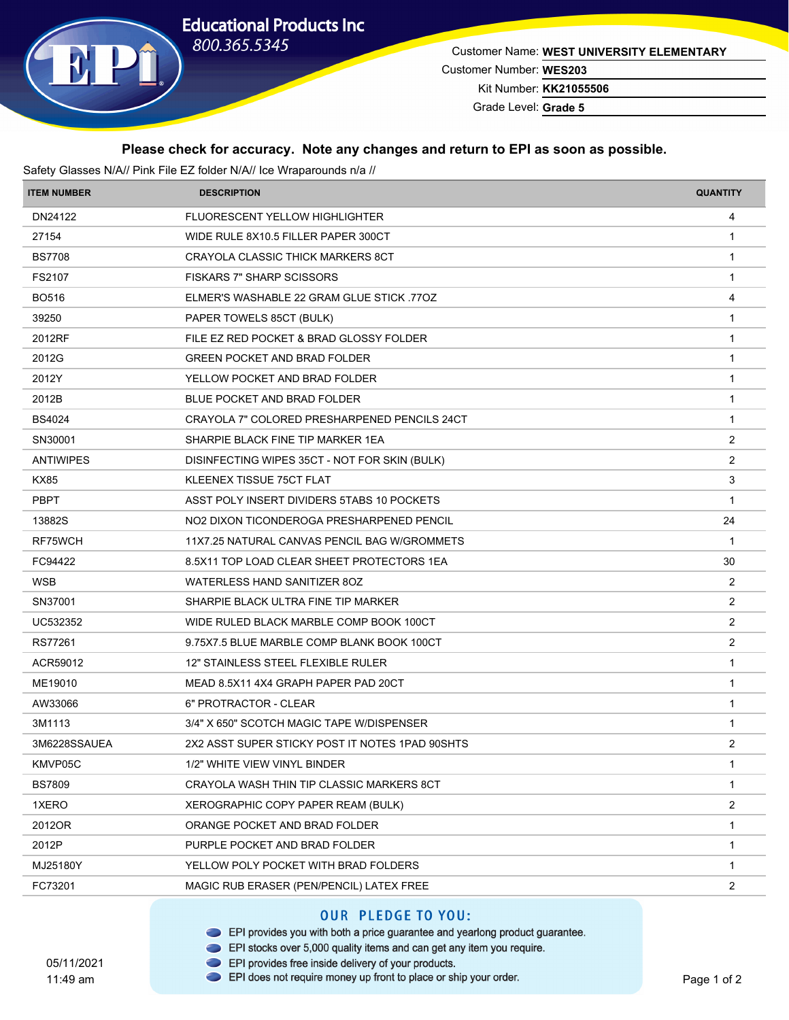## **Educational Products Inc** 800.365.5345



Customer Name: **WEST UNIVERSITY ELEMENTARY**

Customer Number: **WES203**

Kit Number: **KK21055506**

Grade Level: **Grade 5**

#### **Please check for accuracy. Note any changes and return to EPI as soon as possible.**

Safety Glasses N/A// Pink File EZ folder N/A// Ice Wraparounds n/a // **ITEM NUMBER DESCRIPTION QUANTITY** DN24122 FLUORESCENT YELLOW HIGHLIGHTER 4 27154 WIDE RULE 8X10.5 FILLER PAPER 300CT 1 27154 BS7708 CRAYOLA CLASSIC THICK MARKERS 8CT 1 ACCOMODY 1 CRAYOLA CLASSIC THICK MARKERS 8CT FS2107 FISKARS 7" SHARP SCISSORS 1 AND 120 FISKARS 1 AND 120 FISKARS 1 AND 120 FISKARS 1 AND 120 FISKARS 1 AND 120 FISKARS 1 AND 120 FISKARS 1 AND 120 FISKARS 1 AND 120 FISKARS 1 AND 120 FISKARS 1 AND 120 FISKARS 1 AND 120 BO516 ELMER'S WASHABLE 22 GRAM GLUE STICK .77OZ 4 39250 PAPER TOWELS 85CT (BULK) 1 2012RF FILE EZ RED POCKET & BRAD GLOSSY FOLDER 1 AND TO A 2012 RED TO A 2012 RED POCKET & BRAD GLOSSY FOLDER 2012G GREEN POCKET AND BRAD FOLDER 1 2012Y TELLOW POCKET AND BRAD FOLDER 2012Y THE SAME RELEASE AND STRUCK AND RELEASE AND STRUCK AND THE SAME RELEASE AND THE SAME RELEASE AND THE SAME RELEASE AND THE SAME RELEASE AND THE SAME RELEASE AND THE SAME RELEASE AND 2012B BLUE POCKET AND BRAD FOLDER 2012B BS4024 CRAYOLA 7" COLORED PRESHARPENED PENCILS 24CT 1 COLORED 1 SN30001 SHARPIE BLACK FINE TIP MARKER 1EA 2 ANTIWIPES DISINFECTING WIPES 35CT - NOT FOR SKIN (BULK) 2 2 KX85 KLEENEX TISSUE 75CT FLAT 3 PBPT ASST POLY INSERT DIVIDERS 5TABS 10 POCKETS 10 POCKETS 1 13882S NO2 DIXON TICONDEROGA PRESHARPENED PENCIL NO2 24 RF75WCH 11X7.25 NATURAL CANVAS PENCIL BAG W/GROMMETS FC94422 8.5X11 TOP LOAD CLEAR SHEET PROTECTORS 1EA 30 WSB WATERLESS HAND SANITIZER 8OZ 2 SN37001 SHARPIE BLACK ULTRA FINE TIP MARKER 2 UC532352 WIDE RULED BLACK MARBLE COMP BOOK 100CT 2 RS77261 9.75X7.5 BLUE MARBLE COMP BLANK BOOK 100CT 2 ACR59012 12" STAINLESS STEEL FLEXIBLE RULER 1 ME19010 MEAD 8.5X11 4X4 GRAPH PAPER PAD 20CT 1 AMETHOLD AND RESERVE TO A LOCAL THE RESERVE TO A LOCAL THE RESERVE TO A LOCAL THE RESERVE TO A LOCAL THE RESERVE TO A LOCAL THE RESERVE TO A LOCAL THE RESERVE TO A LOCAL THE R AW33066 6 6 6 6 6 6 6 6 6 6 6 7 FROTRACTOR - CLEAR 1 AM 230 FOR 1 23 FOR 1 AM 310 FOR 1 23 FOR 1 23 FOR 1 23 FOR 1 23 FOR 1 23 FOR 1 23 FOR 1 23 FOR 1 23 FOR 1 23 FOR 1 23 FOR 1 23 FOR 1 23 FOR 1 23 FOR 1 23 FOR 1 23 FOR 1 3M1113 3/4" X 650" SCOTCH MAGIC TAPE W/DISPENSER 3M1113 3M1113 3M6228SSAUEA 2X2 ASST SUPER STICKY POST IT NOTES 1PAD 90SHTS 2 KMVP05C 1 1/2" WHITE VIEW VINYL BINDER 1 BS7809 CRAYOLA WASH THIN TIP CLASSIC MARKERS 8CT AND TO A STATE THING THE RESERVE THAT A STATE OF THE RESERVE T 1XERO XEROGRAPHIC COPY PAPER REAM (BULK) 2 2012OR ORANGE POCKET AND BRAD FOLDER 1 2012P PURPLE POCKET AND BRAD FOLDER 2012P MJ25180Y TELLOW POLY POCKET WITH BRAD FOLDERS 1 2007 1 2007 1 2008 1 2008 1 2008 1 2008 1 2008 1 2008 1 2008 1 FC73201 MAGIC RUB ERASER (PEN/PENCIL) LATEX FREE 2

### **OUR PLEDGE TO YOU:**

- EPI provides you with both a price guarantee and yearlong product guarantee.
- EPI stocks over 5,000 quality items and can get any item you require.
- EPI provides free inside delivery of your products. EPI does not require money up front to place or ship your order.

05/11/2021 11:49 am